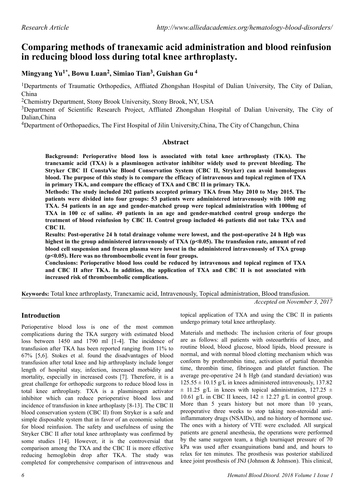# **Comparing methods of tranexamic acid administration and blood reinfusion in reducing blood loss during total knee arthroplasty.**

**Mingyang Yu1\*, Bowu Luan<sup>2</sup> , Simiao Tian<sup>3</sup> , Guishan Gu<sup>4</sup>**

<sup>1</sup>Departments of Traumatic Orthopedics, Affliated Zhongshan Hospital of Dalian University, The City of Dalian, China

<sup>2</sup>Chemistry Department, Stony Brook University, Stony Brook, NY, USA

<sup>3</sup>Department of Scientific Research Project, Affliated Zhongshan Hospital of Dalian University, The City of Dalian,China

<sup>4</sup>Department of Orthopaedics, The First Hospital of Jilin University,China, The City of Changchun, China

# **Abstract**

**Background: Perioperative blood loss is associated with total knee arthroplasty (TKA). The tranexamic acid (TXA) is a plasminogen activator inhibitor widely used to prevent bleeding. The Stryker CBC II ConstaVac Blood Conservation System (CBC II, Stryker) can avoid homologous blood. The purpose of this study is to compare the efficacy of intravenous and topical regimen of TXA in primary TKA, and compare the efficacy of TXA and CBC II in primary TKA.**

**Methods: The study included 202 patients accepted primary TKA from May 2010 to May 2015. The patients were divided into four groups: 53 patients were administered intravenously with 1000 mg TXA. 54 patients in an age and gender-matched group were topical administration with 1000mg of TXA in 100 cc of saline. 49 patients in an age and gender-matched control group undergo the treatment of blood reinfusion by CBC II. Control group included 46 patients did not take TXA and CBC II.**

**Results: Post-operative 24 h total drainage volume were lowest, and the post-operative 24 h Hgb was** highest in the group administered intravenously of TXA (p<0.05). The transfusion rate, amount of red **blood cell suspension and frozen plasma were lowest in the administered intravenously of TXA group (p<0.05). Here was no thromboembolic event in four groups.**

**Conclusions: Perioperative blood loss could be reduced by intravenous and topical regimen of TXA and CBC II after TKA. In addition, the application of TXA and CBC II is not associated with increased risk of thromboembolic complications.**

**Keywords:** Total knee arthroplasty, Tranexamic acid, Intravenously, Topical administration, Blood transfusion.

*Accepted on November 3, 2017*

# **Introduction**

Perioperative blood loss is one of the most common complications during the TKA surgery with estimated blood loss between 1450 and 1790 ml [1-4]. The incidence of transfusion after TKA has been reported ranging from 11% to 67% [5,6]. Stokes et al. found the disadvantages of blood transfusion after total knee and hip arthroplasty include longer length of hospital stay, infection, increased morbidity and mortality, especially in increased costs [7]. Therefore, it is a great challenge for orthopedic surgeons to reduce blood loss in total knee arthroplasty. TXA is a plasminogen activator inhibitor which can reduce perioperative blood loss and incidence of transfusion in knee arthoplasty [8-13]. The CBC II blood conservation system (CBC II) from Stryker is a safe and simple disposable system that in favor of an economic solution for blood reinfusion. The safety and usefulness of using the Stryker CBC II after total knee arthroplasty was confirmed by some studies [14]. However, it is the controversial that comparison among the TXA and the CBC II is more effective reducing hemoglobin drop after TKA. The study was completed for comprehensive comparison of intravenous and

topical application of TXA and using the CBC II in patients undergo primary total knee arthroplasty.

Materials and methods: The inclusion criteria of four groups are as follows: all patients with osteoarthritis of knee, and routine blood, blood glucose, blood lipids, blood pressure is normal, and with normal blood clotting mechanism which was conform by prothrombin time, activation of partial thrombin time, thrombin time, fibrinogen and platelet function. The average pre-operative 24 h Hgb (and standard deviation) was  $125.55 \pm 10.15$  g/L in knees administered intravenously, 137.82  $\pm$  11.25 g/L in knees with topical administration, 127.25  $\pm$ 10.61 g/L in CBC II knees,  $142 \pm 12.27$  g/L in control group. More than 5 years history but not more than 10 years, preoperative three weeks to stop taking non-steroidal antiinflammatory drugs (NSAIDs), and no history of hormone use. The ones with a history of VTE were excluded. All surgical patients are general anesthesia, the operations were performed by the same surgeon team, a thigh tourniquet pressure of 70 kPa was used after exsanguinations band and, and hours to relax for ten minutes. The prosthesis was posterior stabilized knee joint prosthesis of JNJ (Johnson & Johnson). This clinical,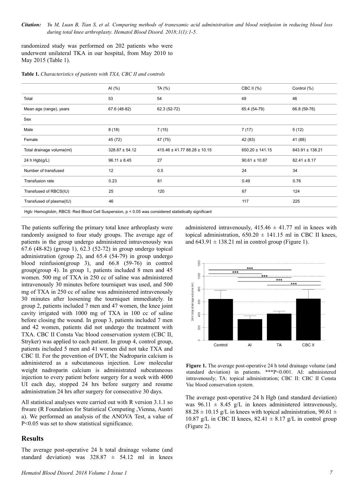*Citation: Yu M, Luan B, Tian S, et al. Comparing methods of tranexamic acid administration and blood reinfusion in reducing blood loss during total knee arthroplasty. Hematol Blood Disord. 2018;1(1):1-5.*

randomized study was performed on 202 patients who were underwent unilateral TKA in our hospital, from May 2010 to May 2015 (Table 1).

**Table 1.** *Characteristics of patients with TXA, CBC II and controls*

|                                                                                                       | Al $(%)$           | TA (%)                       | CBC II (%)          | Control (%)      |
|-------------------------------------------------------------------------------------------------------|--------------------|------------------------------|---------------------|------------------|
| Total                                                                                                 | 53                 | 54                           | 49                  | 46               |
| Mean age (range), years                                                                               | 67.6 (48-82)       | 62.3 (52-72)                 | 65.4 (54-79)        | 66.8 (59-76)     |
| Sex                                                                                                   |                    |                              |                     |                  |
| Male                                                                                                  | 8(18)              | 7(15)                        | 7(17)               | 5(12)            |
| Female                                                                                                | 45 (72)            | 47 (75)                      | 42 (83)             | 41 (88)          |
| Total drainage volume(ml)                                                                             | $328.87 \pm 54.12$ | 415.46 ± 41.77 88.28 ± 10.15 | $650.20 \pm 141.15$ | 643.91 ± 138.21  |
| 24 h $Hgb(g/L)$                                                                                       | $96.11 \pm 8.45$   | 27                           | $90.61 \pm 10.87$   | $82.41 \pm 8.17$ |
| Number of transfused                                                                                  | 12                 | 0.5                          | 24                  | 34               |
| Transfusion rate                                                                                      | 0.23               | 81                           | 0.49                | 0.76             |
| Transfused of RBCS(IU)                                                                                | 25                 | 120                          | 67                  | 124              |
| Transfused of plasma(IU)                                                                              | 46                 |                              | 117                 | 225              |
| Hgb: Hemoglobin, RBCS: Red Blood Cell Suspension, $p < 0.05$ was considered statistically significant |                    |                              |                     |                  |

The patients suffering the primary total knee arthroplasty were randomly assigned to four study groups. The average age of patients in the group undergo administered intravenously was 67.6 (48-82) (group 1), 62.3 (52-72) in group undergo topical administration (group 2), and 65.4 (54-79) in group undergo blood reinfusion(group 3), and 66.8 (59-76) in control group(group 4). In group 1, patients included 8 men and 45 women. 500 mg of TXA in 250 cc of saline was administered intravenously 30 minutes before tourniquet was used, and 500 mg of TXA in 250 cc of saline was administered intravenously 30 minutes after loosening the tourniquet immediately. In group 2, patients included 7 men and 47 women, the knee joint cavity irrigated with 1000 mg of TXA in 100 cc of saline before closing the wound. In group 3, patients included 7 men and 42 women, patients did not undergo the treatment with TXA. CBC II Consta Vac blood conservation system (CBC II, Stryker) was applied to each patient. In group 4, control group, patients included 5 men and 41 women did not take TXA and CBC II. For the prevention of DVT, the Nadroparin calcium is administered as a subcutaneous injection. Low molecular weight nadroparin calcium is administrated subcutaneous injection to every patient before surgery for a week with 4000 UI each day, stopped 24 hrs before surgery and resume administration 24 hrs after surgery for consecutive 30 days.

All statistical analyses were carried out with R version 3.1.1 so ftware (R Foundation for Statistical Computing ,Vienna, Austri a). We performed an analysis of the ANOVA Test, a value of P<0.05 was set to show statistical significance.

#### **Results**

The average post-operative 24 h total drainage volume (and standard deviation) was  $328.87 \pm 54.12$  ml in knees administered intravenously,  $415.46 \pm 41.77$  ml in knees with topical administration,  $650.20 \pm 141.15$  ml in CBC II knees, and  $643.91 \pm 138.21$  ml in control group (Figure 1).



**Figure 1.** The average post-operative 24 h total drainage volume (and standard deviation) in patients. \*\*\*P<0.001. AI: administered intravenously; TA: topical administration; CBC II: CBC II Consta Vac blood conservation system.

The average post-operative 24 h Hgb (and standard deviation) was  $96.11 \pm 8.45$  g/L in knees administered intravenously,  $88.28 \pm 10.15$  g/L in knees with topical administration, 90.61  $\pm$ 10.87 g/L in CBC II knees,  $82.41 \pm 8.17$  g/L in control group (Figure 2).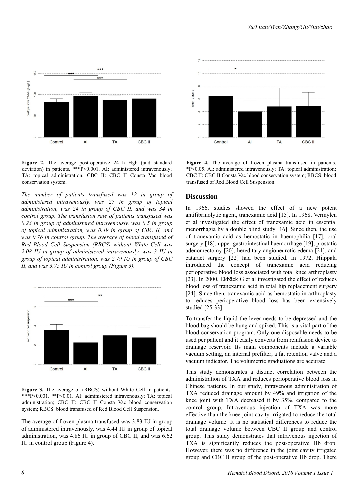

**Figure 2.** The average post-operative 24 h Hgb (and standard deviation) in patients. \*\*\*P<0.001. AI: administered intravenously; TA: topical administration; CBC II: CBC II Consta Vac blood conservation system.

*The number of patients transfused was 12 in group of administered intravenously, was 27 in group of topical administration, was 24 in group of CBC II, and was 34 in control group. The transfusion rate of patients transfused was 0.23 in group of administered intravenously, was 0.5 in group of topical administration, was 0.49 in group of CBC II, and was 0.76 in control group. The average of blood transfused of Red Blood Cell Suspension (RBCS) without White Cell was 2.08 IU in group of administered intravenously, was 3 IU in group of topical administration, was 2.79 IU in group of CBC II, and was 3.75 IU in control group (Figure 3).*



**Figure 3.** The average of (RBCS) without White Cell in patients. \*\*\*P<0.001. \*\*P<0.01. AI: administered intravenously; TA: topical administration; CBC II: CBC II Consta Vac blood conservation system; RBCS: blood transfused of Red Blood Cell Suspension.

The average of frozen plasma transfused was 3.83 IU in group of administered intravenously, was 4.44 IU in group of topical administration, was 4.86 IU in group of CBC II, and was 6.62 IU in control group (Figure 4).



**Figure 4.** The average of frozen plasma transfused in patients. \*P<0.05. AI: administered intravenously; TA: topical administration; CBC II: CBC II Consta Vac blood conservation system; RBCS: blood transfused of Red Blood Cell Suspension.

#### **Discussion**

In 1966, studies showed the effect of a new potent antifibrinolytic agent, tranexamic acid [15]. In 1968, Vermylen et al investigated the effect of tranexamic acid in essential menorrhagia by a double blind study [16]. Since then, the use of tranexamic acid as hemostatic in haemophilia [17], oral surgery [18], upper gastrointestinal haemorrhage [19], prostatic adenomectomy [20], hereditary angioneurotic edema [21], and cataract surgery [22] had been studied. In 1972, Hiippala introduced the concept of tranexamic acid reducing perioperative blood loss associated with total knee arthroplasty [23]. In 2000, Ekbäck G et al investigated the effect of reduces blood loss of tranexamic acid in total hip replacement surgery [24]. Since then, tranexamic acid as hemostatic in arthroplasty to reduces perioperative blood loss has been extensively studied [25-33].

To transfer the liquid the lever needs to be depressed and the blood bag should be hung and spiked. This is a vital part of the blood conservation program. Only one disposable needs to be used per patient and it easily converts from reinfusion device to drainage reservoir. Its main components include a variable vacuum setting, an internal prefilter, a fat retention valve and a vacuum indicator. The volumetric graduations are accurate.

This study demonstrates a distinct correlation between the administration of TXA and reduces perioperative blood loss in Chinese patients. In our study, intravenous administration of TXA reduced drainage amount by 49% and irrigation of the knee joint with TXA decreased it by 35%, compared to the control group. Intravenous injection of TXA was more effective than the knee joint cavity irrigated to reduce the total drainage volume. It is no statistical differences to reduce the total drainage volume between CBC II group and control group. This study demonstrates that intravenous injection of TXA is significantly reduces the post-operative Hb drop. However, there was no difference in the joint cavity irrigated group and CBC II group of the post-operative Hb drop. There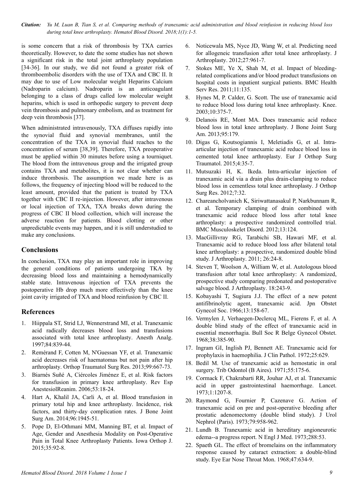*Citation: Yu M, Luan B, Tian S, et al. Comparing methods of tranexamic acid administration and blood reinfusion in reducing blood loss during total knee arthroplasty. Hematol Blood Disord. 2018;1(1):1-5.*

is some concern that a risk of thrombosis by TXA carries theoretically. However, to date the some studies has not shown a significant risk in the total joint arthroplasty population [34-36]. In our study, we did not found a greater risk of thromboembolic disorders with the use of TXA and CBC II. It may due to use of Low molecular weight Heparins Calcium (Nadroparin calcium). Nadroparin is an anticoagulant belonging to a class of drugs called low molecular weight heparins, which is used in orthopedic surgery to prevent deep vein thrombosis and pulmonary embolism, and as treatment for deep vein thrombosis [37].

When administrated intravenously, TXA diffuses rapidly into the synovial fluid and synovial membranes, until the concentration of the TXA in synovial fluid reaches to the concentration of serum [38,39]. Therefore, TXA preoperative must be applied within 30 minutes before using a tourniquet. The blood from the intravenous group and the irrigated group contains TXA and metabolites, it is not clear whether can induce thrombosis. The assumption we made here is as follows, the frequency of injecting blood will be reduced to the least amount, provided that the patient is treated by TXA together with CBC II re-injection. However, after intravenous or local injection of TXA, TXA breaks down during the progress of CBC II blood collection, which will increase the adverse reaction for patients. Blood clotting or other unpredictable events may happen, and it is still understudied to make any conclusions.

### **Conclusions**

In conclusion, TXA may play an important role in improving the general conditions of patients undergoing TKA by decreasing blood loss and maintaining a hemodynamically stable state. Intravenous injection of TXA prevents the postoperative Hb drop much more effectively than the knee joint cavity irrigated of TXA and blood reinfusion by CBC II.

## **References**

- 1. Hiippala ST, Strid LJ, Wennerstrand MI, et al. Tranexamic acid radically decreases blood loss and transfusions associated with total knee arthroplasty. Anesth Analg. 1997;84:839-44.
- 2. Remérand F, Cotten M, N'Guessan YF, et al. Tranexamic acid decreases risk of haematomas but not pain after hip arthroplasty. Orthop Traumatol Surg Res. 2013;99:667-73.
- 3. Biarnés Suñé A, Ciércoles Jiménez E, et al. Risk factors for transfusion in primary knee arthroplasty. Rev Esp AnestesiolReanim. 2006;53:18-24.
- 4. Hart A, Khalil JA, Carli A, et al. Blood transfusion in primary total hip and knee arthroplasty. Incidence, risk factors, and thirty-day complication rates. J Bone Joint Surg Am. 2014;96:1945-51.
- 5. Pope D, El-Othmani MM, Manning BT, et al. Impact of Age, Gender and Anesthesia Modality on Post-Operative Pain in Total Knee Arthroplasty Patients. Iowa Orthop J. 2015;35:92-8.
- 6. Noticewala MS, Nyce JD, Wang W, et al. Predicting need for allogeneic transfusion after total knee arthroplasty. J Arthroplasty. 2012;27:961-7.
- 7. Stokes ME, Ye X, Shah M, et al. Impact of bleedingrelated complications and/or blood product transfusions on hospital costs in inpatient surgical patients. BMC Health Serv Res. 2011;11:135.
- 8. Hynes M, P. Calder, G. Scott. The use of tranexamic acid to reduce blood loss during total knee arthroplasty. Knee. 2003;10:375-7.
- 9. Delanois RE, Mont MA. Does tranexamic acid reduce blood loss in total knee arthroplasty. J Bone Joint Surg Am. 2013;95:179.
- 10. Digas G, Koutsogiannis I, Meletiadis G, et al. Intraarticular injection of tranexamic acid reduce blood loss in cemented total knee arthroplasty. Eur J Orthop Surg Traumatol. 2015;4:35-7.
- 11. Mutsuzaki H, K. Ikeda. Intra-articular injection of tranexamic acid via a drain plus drain-clamping to reduce blood loss in cementless total knee arthroplasty. J Orthop Surg Res. 2012;7:32.
- 12. Chareancholvanich K, Siriwattanasakul P, Narkbunnam R, et al. Temporary clamping of drain combined with tranexamic acid reduce blood loss after total knee arthroplasty: a prospective randomized controlled trial. BMC Musculoskelet Disord. 2012;13:124.
- 13. MacGillivray RG, Tarabichi SB, Hawari MF, et al. Tranexamic acid to reduce blood loss after bilateral total knee arthroplasty: a prospective, randomized double blind study. J Arthroplasty. 2011; 26:24-8.
- 14. Steven T, Woolson A, William W, et al. Autologous blood transfusion after total knee arthroplasty: A randomized, prospective study comparing predonated and postoperative salvage blood. J Arthroplasty. 18:243-9.
- 15. Kobayashi T, Sugiura J.J. The effect of a new potent antifibrinolytic agent, tranexamic acid. Jpn Obstet Gynecol Soc. 1966;13:158-67.
- 16. Vermylen J, Verhaegen-Declercq ML, Fierens F, et al. A double blind study of the effect of tranexamic acid in essential menorrhagia. Bull Soc R Belge Gynecol Obstet. 1968;38:385-90.
- 17. Ingram GI, Inglish PJ, Bennett AE. Tranexamic acid for prophylaxis in haemophilia. J Clin Pathol. 1972;25:629.
- 18. Bedil M. Use of tranexamic acid as hemostatic in oral surgery. Trib Odontol (B Aires). 1971;55:175-6.
- 19. Cormack F, Chakrabarti RR, Jouhar AJ, et al. Tranexamic acid in upper gastrointestinal haemorrhage. Lancet. 1973;1:1207-8.
- 20. Raymond G, Fournier P, Cazenave G. Action of tranexamic acid on pre and post-operative bleeding after prostatic adenomectomy (double blind study). J Urol Nephrol (Paris). 1973;79:958-962.
- 21. Lundh B. Tranexamic acid in hereditary angioneurotic edema--a progress report. N Engl J Med. 1973;288:53.
- 22. Spaeth GL. The effect of bromelains on the inflammatory response caused by cataract extraction: a double-blind study. Eye Ear Nose Throat Mon. 1968;47:634-9.